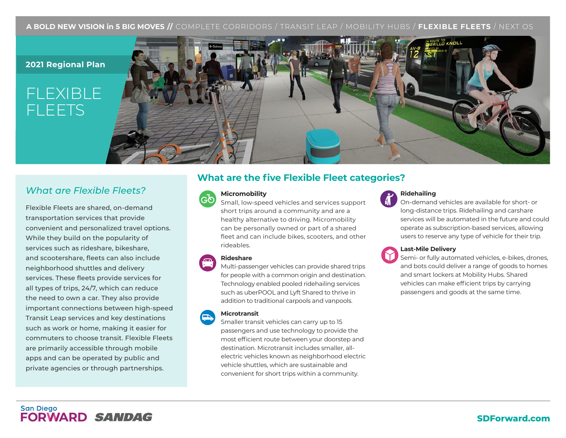# **A BOLD NEW VISION in 5 BIG MOVES //** COMPLETE CORRIDORS / TRANSIT LEAP / MOBILITY HUBS / **FLEXIBLE FLEETS** / NEXT OS

# **2021 Regional Plan**

# FLEXIBLE FLEETS



# *What are Flexible Fleets?*

Flexible Fleets are shared, on-demand transportation services that provide convenient and personalized travel options. While they build on the popularity of services such as rideshare, bikeshare, and scootershare, fleets can also include neighborhood shuttles and delivery services. These fleets provide services for all types of trips, 24/7, which can reduce the need to own a car. They also provide important connections between high-speed Transit Leap services and key destinations such as work or home, making it easier for commuters to choose transit. Flexible Fleets are primarily accessible through mobile apps and can be operated by public and private agencies or through partnerships.

# **What are the five Flexible Fleet categories?**

# **Micromobility**



Small, low-speed vehicles and services support short trips around a community and are a healthy alternative to driving. Micromobility can be personally owned or part of a shared fleet and can include bikes, scooters, and other rideables.

# **Rideshare**

Multi-passenger vehicles can provide shared trips for people with a common origin and destination. Technology enabled pooled ridehailing services such as uberPOOL and Lyft Shared to thrive in addition to traditional carpools and vanpools.

#### **Microtransit**

Smaller transit vehicles can carry up to 15 passengers and use technology to provide the most efficient route between your doorstep and destination. Microtransit includes smaller, allelectric vehicles known as neighborhood electric vehicle shuttles, which are sustainable and convenient for short trips within a community.



# **Ridehailing**

On-demand vehicles are available for short- or long-distance trips. Ridehailing and carshare services will be automated in the future and could operate as subscription-based services, allowing users to reserve any type of vehicle for their trip.



#### **Last-Mile Delivery**

Semi- or fully automated vehicles, e-bikes, drones, and bots could deliver a range of goods to homes and smart lockers at Mobility Hubs. Shared vehicles can make efficient trips by carrying passengers and goods at the same time.